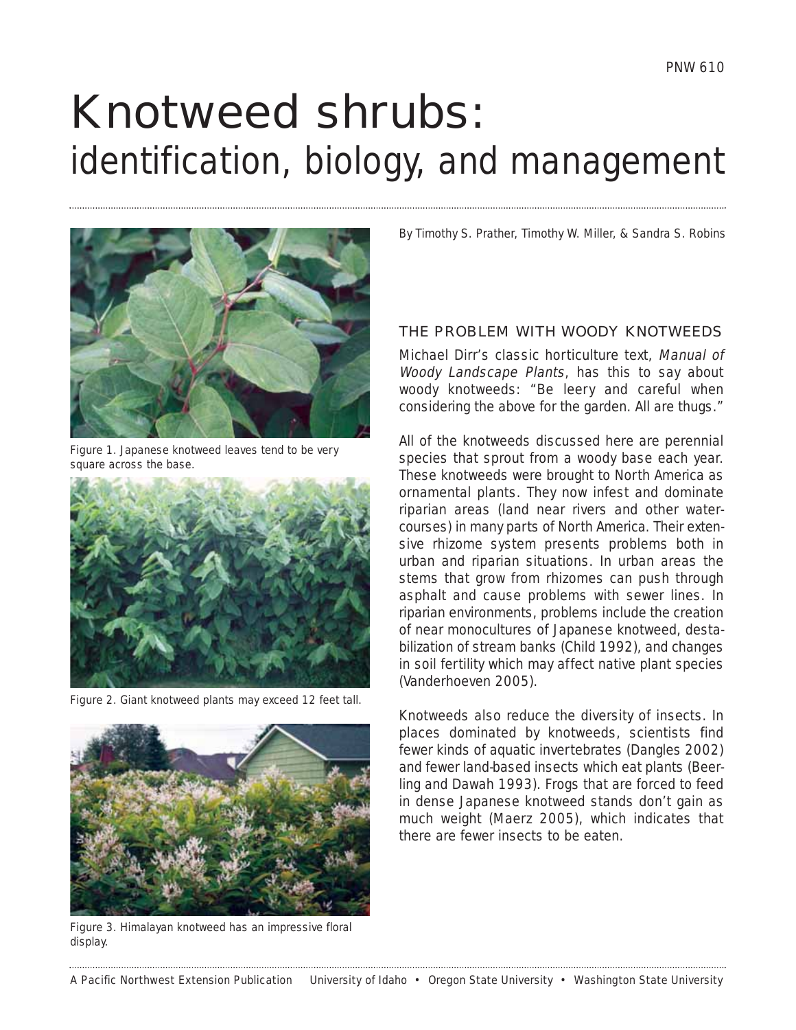# <span id="page-0-0"></span>Knotweed shrubs: identification, biology, and management



Figure 1. Japanese knotweed leaves tend to be very square across the base.



Figure 2. Giant knotweed plants may exceed 12 feet tall.



Figure 3. Himalayan knotweed has an impressive floral display.

By Timothy S. Prather, Timothy W. Miller, & Sandra S. Robins

# THE PROBLEM WITH WOODY KNOTWEEDS

Michael Dirr's classic horticulture text, Manual of Woody Landscape Plants, has this to say about woody knotweeds: "Be leery and careful when considering the above for the garden. All are thugs."

All of the knotweeds discussed here are perennial species that sprout from a woody base each year. These knotweeds were brought to North America as ornamental plants. They now infest and dominate riparian areas (land near rivers and other watercourses) in many parts of North America. Their extensive rhizome system presents problems both in urban and riparian situations. In urban areas the stems that grow from rhizomes can push through asphalt and cause problems with sewer lines. In riparian environments, problems include the creation of near monocultures of Japanese knotweed, destabilization of stream banks (Child 1992), and changes in soil fertility which may affect native plant species (Vanderhoeven 2005).

Knotweeds also reduce the diversity of insects. In places dominated by knotweeds, scientists find fewer kinds of aquatic invertebrates (Dangles 2002) and fewer land-based insects which eat plants (Beerling and Dawah 1993). Frogs that are forced to feed in dense Japanese knotweed stands don't gain as much weight (Maerz 2005), which indicates that there are fewer insects to be eaten.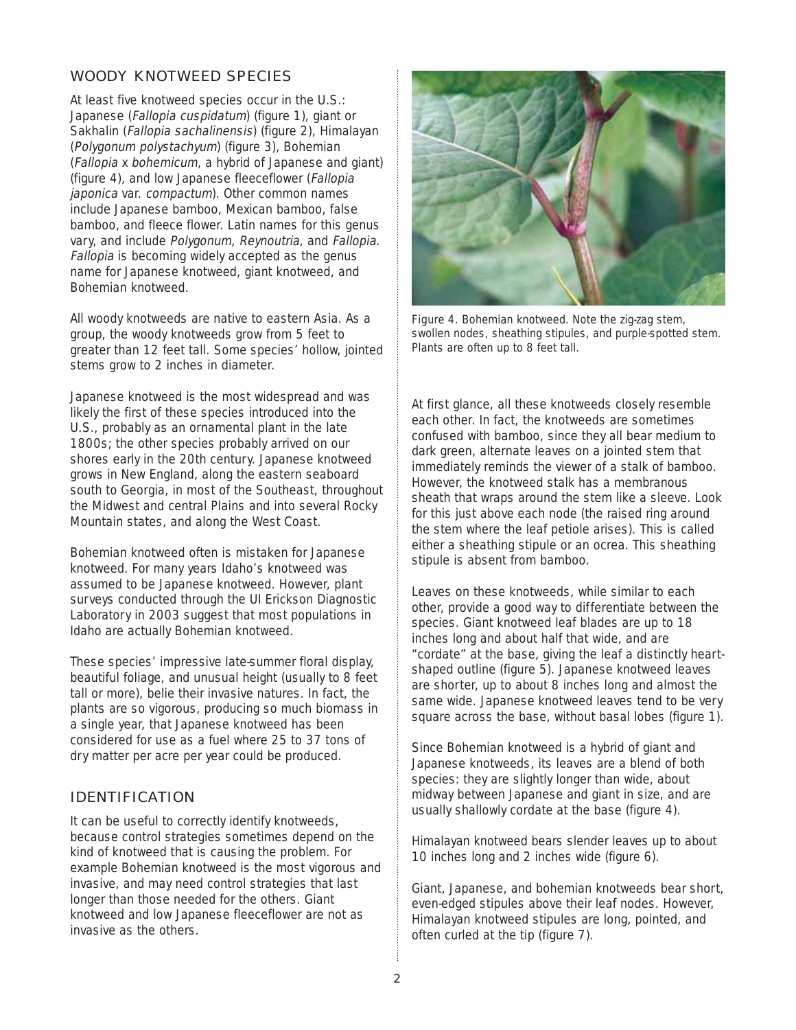# WOODY KNOTWEED SPECIES

At least five knotweed species occur in the U.S.: Japanese (Fallopia cuspidatum) [\(figure 1\),](#page-0-0) giant or Sakhalin (Fallopia sachalinensis) [\(figure 2\)](#page-0-0), Himalayan (Polygonum polystachyum) [\(figure 3\),](#page-0-0) Bohemian (Fallopia x bohemicum, a hybrid of Japanese and giant) (figure 4), and low Japanese fleeceflower (Fallopia japonica var. compactum). Other common names include Japanese bamboo, Mexican bamboo, false bamboo, and fleece flower. Latin names for this genus vary, and include Polygonum, Reynoutria, and Fallopia. Fallopia is becoming widely accepted as the genus name for Japanese knotweed, giant knotweed, and Bohemian knotweed.

All woody knotweeds are native to eastern Asia. As a group, the woody knotweeds grow from 5 feet to greater than 12 feet tall. Some species' hollow, jointed stems grow to 2 inches in diameter.

Japanese knotweed is the most widespread and was likely the first of these species introduced into the U.S., probably as an ornamental plant in the late 1800s; the other species probably arrived on our shores early in the 20th century. Japanese knotweed grows in New England, along the eastern seaboard south to Georgia, in most of the Southeast, throughout the Midwest and central Plains and into several Rocky Mountain states, and along the West Coast.

Bohemian knotweed often is mistaken for Japanese knotweed. For many years Idaho's knotweed was assumed to be Japanese knotweed. However, plant surveys conducted through the UI Erickson Diagnostic Laboratory in 2003 suggest that most populations in Idaho are actually Bohemian knotweed.

These species' impressive late-summer floral display, beautiful foliage, and unusual height (usually to 8 feet tall or more), belie their invasive natures. In fact, the plants are so vigorous, producing so much biomass in a single year, that Japanese knotweed has been considered for use as a fuel where 25 to 37 tons of dry matter per acre per year could be produced.

# IDENTIFICATION

It can be useful to correctly identify knotweeds, because control strategies sometimes depend on the kind of knotweed that is causing the problem. For example Bohemian knotweed is the most vigorous and invasive, and may need control strategies that last longer than those needed for the others. Giant knotweed and low Japanese fleeceflower are not as invasive as the others.



Figure 4. Bohemian knotweed. Note the zig-zag stem, swollen nodes, sheathing stipules, and purple-spotted stem. Plants are often up to 8 feet tall.

At first glance, all these knotweeds closely resemble each other. In fact, the knotweeds are sometimes confused with bamboo, since they all bear medium to dark green, alternate leaves on a jointed stem that immediately reminds the viewer of a stalk of bamboo. However, the knotweed stalk has a membranous sheath that wraps around the stem like a sleeve. Look for this just above each node (the raised ring around the stem where the leaf petiole arises). This is called either a sheathing stipule or an ocrea. This sheathing stipule is absent from bamboo.

Leaves on these knotweeds, while similar to each other, provide a good way to differentiate between the species. Giant knotweed leaf blades are up to 18 inches long and about half that wide, and are "cordate" at the base, giving the leaf a distinctly heartshaped outline [\(figure 5\).](#page-4-0) Japanese knotweed leaves are shorter, up to about 8 inches long and almost the same wide. Japanese knotweed leaves tend to be very square across the base, without basal lobes [\(figure 1\).](#page-0-0)

Since Bohemian knotweed is a hybrid of giant and Japanese knotweeds, its leaves are a blend of both species: they are slightly longer than wide, about midway between Japanese and giant in size, and are usually shallowly cordate at the base (figure 4).

Himalayan knotweed bears slender leaves up to about 10 inches long and 2 inches wide [\(figure 6\).](#page-2-0)

Giant, Japanese, and bohemian knotweeds bear short, even-edged stipules above their leaf nodes. However, Himalayan knotweed stipules are long, pointed, and often curled at the tip [\(figure 7\).](#page-2-0)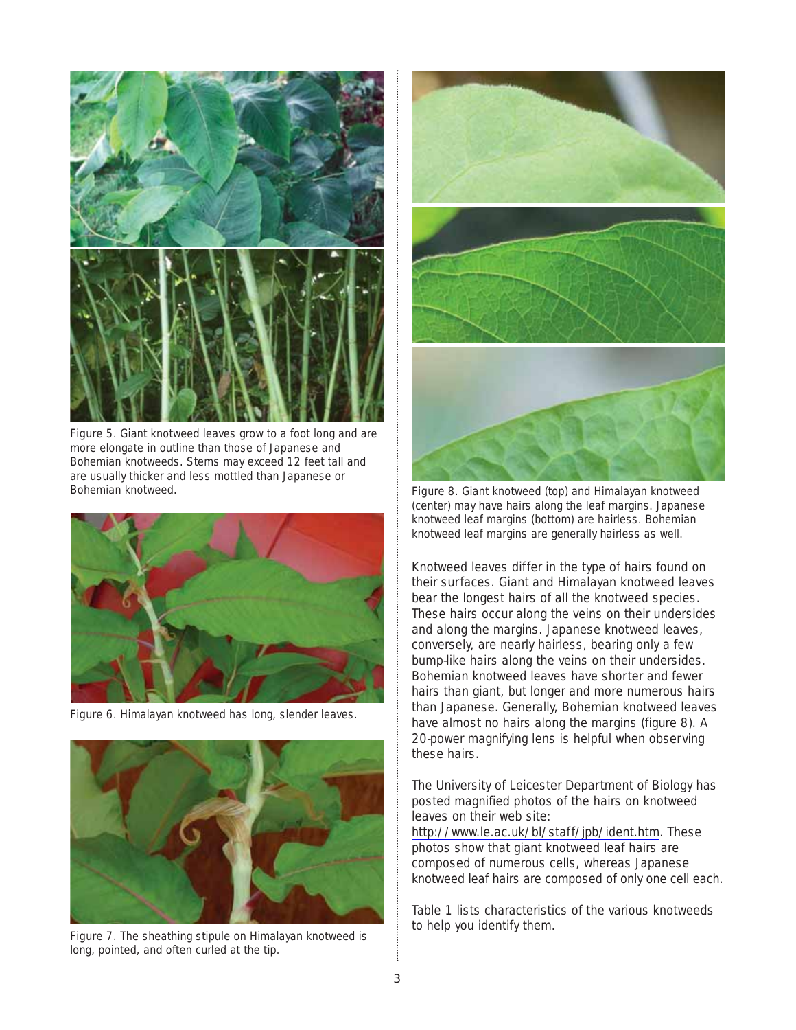<span id="page-2-0"></span>

Figure 5. Giant knotweed leaves grow to a foot long and are more elongate in outline than those of Japanese and Bohemian knotweeds. Stems may exceed 12 feet tall and are usually thicker and less mottled than Japanese or Bohemian knotweed. The state of the state of the Figure 8. Giant knotweed (top) and Himalayan knotweed



Figure 6. Himalayan knotweed has long, slender leaves.



Figure 7. The sheathing stipule on Himalayan knotweed is long, pointed, and often curled at the tip.



(center) may have hairs along the leaf margins. Japanese knotweed leaf margins (bottom) are hairless. Bohemian knotweed leaf margins are generally hairless as well.

Knotweed leaves differ in the type of hairs found on their surfaces. Giant and Himalayan knotweed leaves bear the longest hairs of all the knotweed species. These hairs occur along the veins on their undersides and along the margins. Japanese knotweed leaves, conversely, are nearly hairless, bearing only a few bump-like hairs along the veins on their undersides. Bohemian knotweed leaves have shorter and fewer hairs than giant, but longer and more numerous hairs than Japanese. Generally, Bohemian knotweed leaves have almost no hairs along the margins (figure 8). A 20-power magnifying lens is helpful when observing these hairs.

The University of Leicester Department of Biology has posted magnified photos of the hairs on knotweed leaves on their web site:

[http://www.le.ac.uk/bl/staff/jpb/ident.htm.](http://www.le.ac.uk/bl/staff/jpb/ident.htm) These photos show that giant knotweed leaf hairs are composed of numerous cells, whereas Japanese knotweed leaf hairs are composed of only one cell each.

[Table 1](#page-3-0) lists characteristics of the various knotweeds to help you identify them.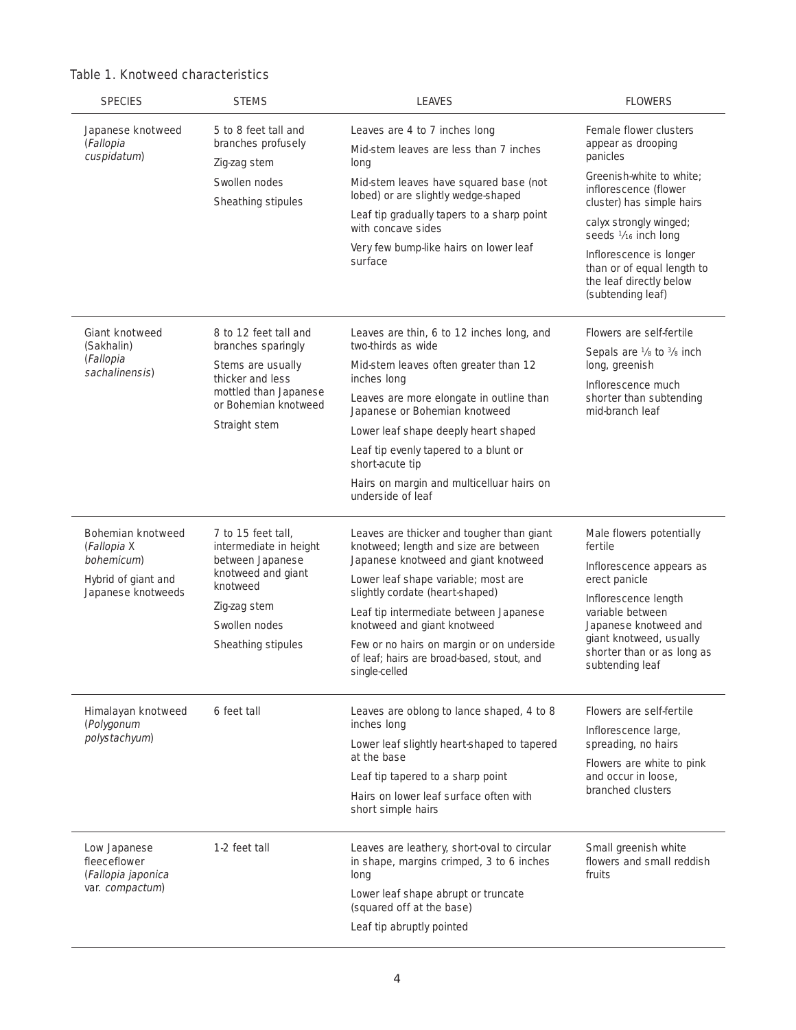| <b>SPECIES</b>                                                                                     | <b>STEMS</b>                                                                                                                                              | <b>LEAVES</b>                                                                                                                                                                                                                                                                                                                                                                             | <b>FLOWERS</b>                                                                                                                                                                                                                                                                                        |
|----------------------------------------------------------------------------------------------------|-----------------------------------------------------------------------------------------------------------------------------------------------------------|-------------------------------------------------------------------------------------------------------------------------------------------------------------------------------------------------------------------------------------------------------------------------------------------------------------------------------------------------------------------------------------------|-------------------------------------------------------------------------------------------------------------------------------------------------------------------------------------------------------------------------------------------------------------------------------------------------------|
| Japanese knotweed<br>(Fallopia<br>cuspidatum)                                                      | 5 to 8 feet tall and<br>branches profusely<br>Zig-zag stem<br>Swollen nodes<br>Sheathing stipules                                                         | Leaves are 4 to 7 inches long<br>Mid-stem leaves are less than 7 inches<br>long<br>Mid-stem leaves have squared base (not<br>lobed) or are slightly wedge-shaped<br>Leaf tip gradually tapers to a sharp point<br>with concave sides<br>Very few bump-like hairs on lower leaf<br>surface                                                                                                 | Female flower clusters<br>appear as drooping<br>panicles<br>Greenish-white to white;<br>inflorescence (flower<br>cluster) has simple hairs<br>calyx strongly winged;<br>seeds 1/16 inch long<br>Inflorescence is longer<br>than or of equal length to<br>the leaf directly below<br>(subtending leaf) |
| <b>Giant knotweed</b><br>(Sakhalin)<br>(Fallopia<br>sachalinensis)                                 | 8 to 12 feet tall and<br>branches sparingly<br>Stems are usually<br>thicker and less<br>mottled than Japanese<br>or Bohemian knotweed<br>Straight stem    | Leaves are thin, 6 to 12 inches long, and<br>two-thirds as wide<br>Mid-stem leaves often greater than 12<br>inches long<br>Leaves are more elongate in outline than<br>Japanese or Bohemian knotweed<br>Lower leaf shape deeply heart shaped<br>Leaf tip evenly tapered to a blunt or<br>short-acute tip<br>Hairs on margin and multicelluar hairs on<br>underside of leaf                | Flowers are self-fertile<br>Sepals are 1/8 to 3/8 inch<br>long, greenish<br>Inflorescence much<br>shorter than subtending<br>mid-branch leaf                                                                                                                                                          |
| <b>Bohemian knotweed</b><br>(Fallopia X<br>bohemicum)<br>Hybrid of giant and<br>Japanese knotweeds | 7 to 15 feet tall,<br>intermediate in height<br>between Japanese<br>knotweed and giant<br>knotweed<br>Zig-zag stem<br>Swollen nodes<br>Sheathing stipules | Leaves are thicker and tougher than giant<br>knotweed; length and size are between<br>Japanese knotweed and giant knotweed<br>Lower leaf shape variable; most are<br>slightly cordate (heart-shaped)<br>Leaf tip intermediate between Japanese<br>knotweed and giant knotweed<br>Few or no hairs on margin or on underside<br>of leaf; hairs are broad-based, stout, and<br>single-celled | Male flowers potentially<br>fertile<br>Inflorescence appears as<br>erect panicle<br>Inflorescence length<br>variable between<br>Japanese knotweed and<br>giant knotweed, usually<br>shorter than or as long as<br>subtending leaf                                                                     |
| Himalayan knotweed<br>(Polygonum<br>polystachyum)                                                  | 6 feet tall                                                                                                                                               | Leaves are oblong to lance shaped, 4 to 8<br>inches long<br>Lower leaf slightly heart-shaped to tapered<br>at the base<br>Leaf tip tapered to a sharp point<br>Hairs on lower leaf surface often with<br>short simple hairs                                                                                                                                                               | Flowers are self-fertile<br>Inflorescence large,<br>spreading, no hairs<br>Flowers are white to pink<br>and occur in loose,<br>branched clusters                                                                                                                                                      |
| Low Japanese<br>fleeceflower<br>(Fallopia japonica<br>var. compactum)                              | 1-2 feet tall                                                                                                                                             | Leaves are leathery, short-oval to circular<br>in shape, margins crimped, 3 to 6 inches<br>long<br>Lower leaf shape abrupt or truncate<br>(squared off at the base)<br>Leaf tip abruptly pointed                                                                                                                                                                                          | Small greenish white<br>flowers and small reddish<br>fruits                                                                                                                                                                                                                                           |

# <span id="page-3-0"></span>Table 1. Knotweed characteristics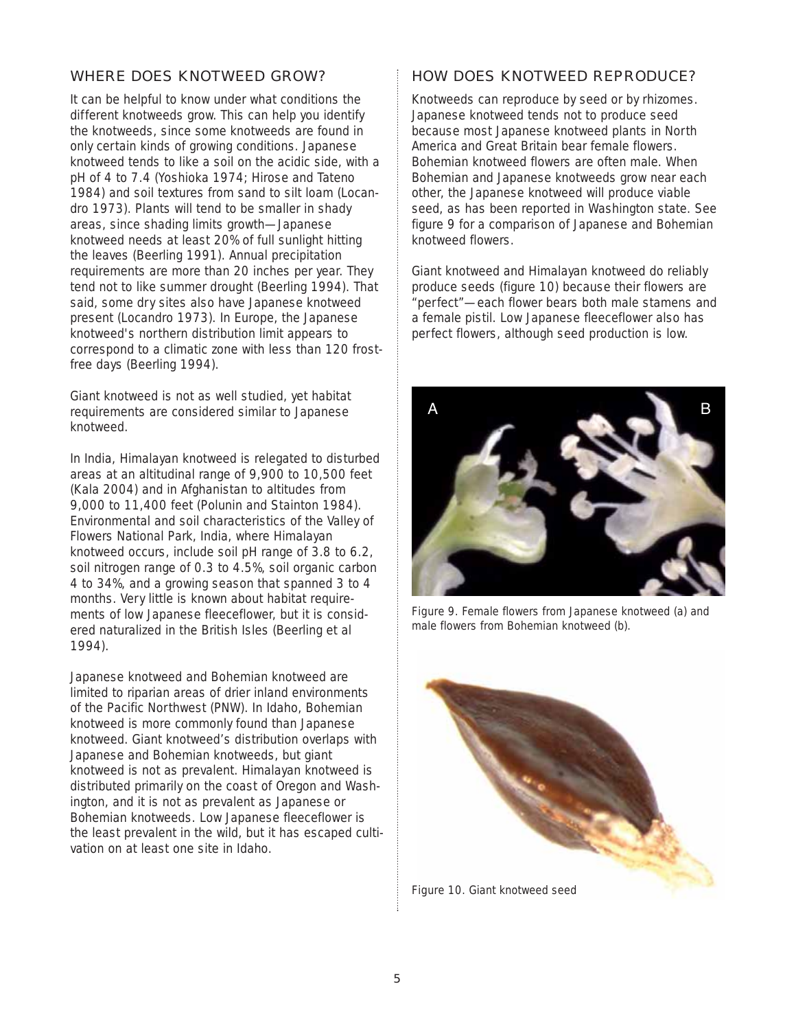# <span id="page-4-0"></span>WHERE DOES KNOTWEED GROW?

It can be helpful to know under what conditions the different knotweeds grow. This can help you identify the knotweeds, since some knotweeds are found in only certain kinds of growing conditions. Japanese knotweed tends to like a soil on the acidic side, with a pH of 4 to 7.4 (Yoshioka 1974; Hirose and Tateno 1984) and soil textures from sand to silt loam (Locandro 1973). Plants will tend to be smaller in shady areas, since shading limits growth—Japanese knotweed needs at least 20% of full sunlight hitting the leaves (Beerling 1991). Annual precipitation requirements are more than 20 inches per year. They tend not to like summer drought (Beerling 1994). That said, some dry sites also have Japanese knotweed present (Locandro 1973). In Europe, the Japanese knotweed's northern distribution limit appears to correspond to a climatic zone with less than 120 frostfree days (Beerling 1994).

Giant knotweed is not as well studied, yet habitat requirements are considered similar to Japanese knotweed.

In India, Himalayan knotweed is relegated to disturbed areas at an altitudinal range of 9,900 to 10,500 feet (Kala 2004) and in Afghanistan to altitudes from 9,000 to 11,400 feet (Polunin and Stainton 1984). Environmental and soil characteristics of the Valley of Flowers National Park, India, where Himalayan knotweed occurs, include soil pH range of 3.8 to 6.2, soil nitrogen range of 0.3 to 4.5%, soil organic carbon 4 to 34%, and a growing season that spanned 3 to 4 months. Very little is known about habitat requirements of low Japanese fleeceflower, but it is considered naturalized in the British Isles (Beerling et al 1994).

Japanese knotweed and Bohemian knotweed are limited to riparian areas of drier inland environments of the Pacific Northwest (PNW). In Idaho, Bohemian knotweed is more commonly found than Japanese knotweed. Giant knotweed's distribution overlaps with Japanese and Bohemian knotweeds, but giant knotweed is not as prevalent. Himalayan knotweed is distributed primarily on the coast of Oregon and Washington, and it is not as prevalent as Japanese or Bohemian knotweeds. Low Japanese fleeceflower is the least prevalent in the wild, but it has escaped cultivation on at least one site in Idaho.

# HOW DOES KNOTWEED REPRODUCE?

Knotweeds can reproduce by seed or by rhizomes. Japanese knotweed tends not to produce seed because most Japanese knotweed plants in North America and Great Britain bear female flowers. Bohemian knotweed flowers are often male. When Bohemian and Japanese knotweeds grow near each other, the Japanese knotweed will produce viable seed, as has been reported in Washington state. See figure 9 for a comparison of Japanese and Bohemian knotweed flowers.

Giant knotweed and Himalayan knotweed do reliably produce seeds (figure 10) because their flowers are "perfect"—each flower bears both male stamens and a female pistil. Low Japanese fleeceflower also has perfect flowers, although seed production is low.



Figure 9. Female flowers from Japanese knotweed (a) and male flowers from Bohemian knotweed (b).



Figure 10. Giant knotweed seed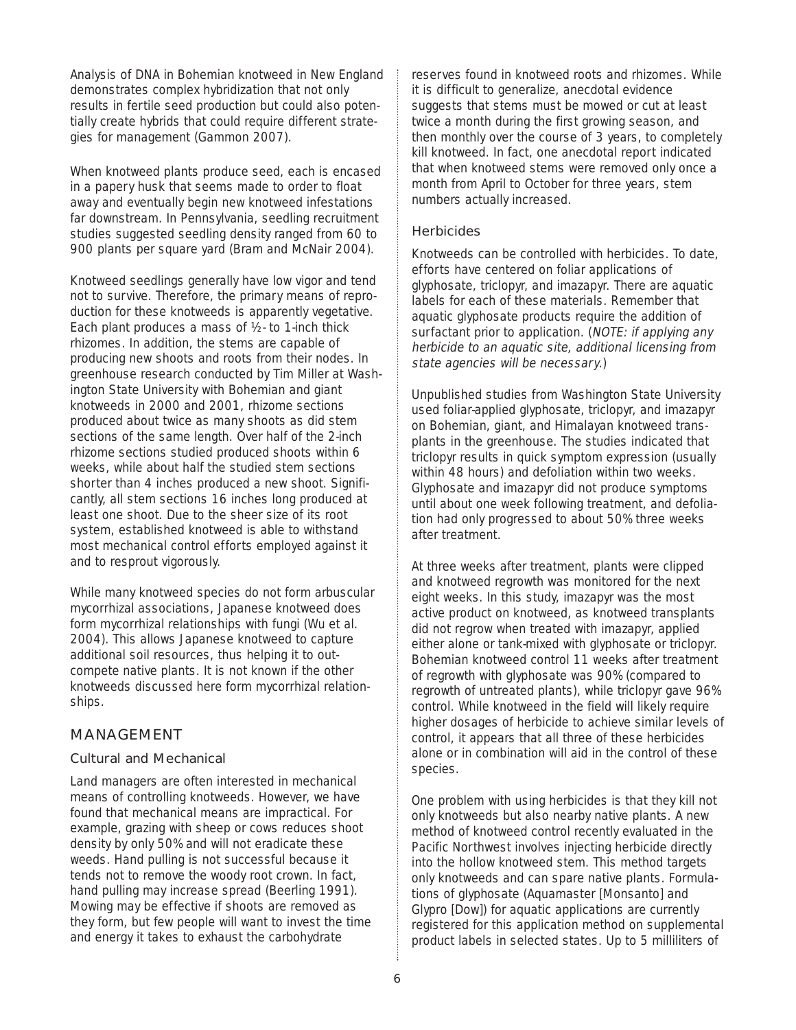Analysis of DNA in Bohemian knotweed in New England demonstrates complex hybridization that not only results in fertile seed production but could also potentially create hybrids that could require different strategies for management (Gammon 2007).

When knotweed plants produce seed, each is encased in a papery husk that seems made to order to float away and eventually begin new knotweed infestations far downstream. In Pennsylvania, seedling recruitment studies suggested seedling density ranged from 60 to 900 plants per square yard (Bram and McNair 2004).

Knotweed seedlings generally have low vigor and tend not to survive. Therefore, the primary means of reproduction for these knotweeds is apparently vegetative. Each plant produces a mass of ½- to 1-inch thick rhizomes. In addition, the stems are capable of producing new shoots and roots from their nodes. In greenhouse research conducted by Tim Miller at Washington State University with Bohemian and giant knotweeds in 2000 and 2001, rhizome sections produced about twice as many shoots as did stem sections of the same length. Over half of the 2-inch rhizome sections studied produced shoots within 6 weeks, while about half the studied stem sections shorter than 4 inches produced a new shoot. Significantly, all stem sections 16 inches long produced at least one shoot. Due to the sheer size of its root system, established knotweed is able to withstand most mechanical control efforts employed against it and to resprout vigorously.

While many knotweed species do not form arbuscular mycorrhizal associations, Japanese knotweed does form mycorrhizal relationships with fungi (Wu et al. 2004). This allows Japanese knotweed to capture additional soil resources, thus helping it to outcompete native plants. It is not known if the other knotweeds discussed here form mycorrhizal relationships.

# MANAGEMENT

### Cultural and Mechanical

Land managers are often interested in mechanical means of controlling knotweeds. However, we have found that mechanical means are impractical. For example, grazing with sheep or cows reduces shoot density by only 50% and will not eradicate these weeds. Hand pulling is not successful because it tends not to remove the woody root crown. In fact, hand pulling may increase spread (Beerling 1991). Mowing may be effective if shoots are removed as they form, but few people will want to invest the time and energy it takes to exhaust the carbohydrate

reserves found in knotweed roots and rhizomes. While it is difficult to generalize, anecdotal evidence suggests that stems must be mowed or cut at least twice a month during the first growing season, and then monthly over the course of 3 years, to completely kill knotweed. In fact, one anecdotal report indicated that when knotweed stems were removed only once a month from April to October for three years, stem numbers actually increased.

### **Herbicides**

Knotweeds can be controlled with herbicides. To date, efforts have centered on foliar applications of glyphosate, triclopyr, and imazapyr. There are aquatic labels for each of these materials. Remember that aquatic glyphosate products require the addition of surfactant prior to application. (NOTE: if applying any herbicide to an aquatic site, additional licensing from state agencies will be necessary.)

Unpublished studies from Washington State University used foliar-applied glyphosate, triclopyr, and imazapyr on Bohemian, giant, and Himalayan knotweed transplants in the greenhouse. The studies indicated that triclopyr results in quick symptom expression (usually within 48 hours) and defoliation within two weeks. Glyphosate and imazapyr did not produce symptoms until about one week following treatment, and defoliation had only progressed to about 50% three weeks after treatment.

At three weeks after treatment, plants were clipped and knotweed regrowth was monitored for the next eight weeks. In this study, imazapyr was the most active product on knotweed, as knotweed transplants did not regrow when treated with imazapyr, applied either alone or tank-mixed with glyphosate or triclopyr. Bohemian knotweed control 11 weeks after treatment of regrowth with glyphosate was 90% (compared to regrowth of untreated plants), while triclopyr gave 96% control. While knotweed in the field will likely require higher dosages of herbicide to achieve similar levels of control, it appears that all three of these herbicides alone or in combination will aid in the control of these species.

One problem with using herbicides is that they kill not only knotweeds but also nearby native plants. A new method of knotweed control recently evaluated in the Pacific Northwest involves injecting herbicide directly into the hollow knotweed stem. This method targets only knotweeds and can spare native plants. Formulations of glyphosate (Aquamaster [Monsanto] and Glypro [Dow]) for aquatic applications are currently registered for this application method on supplemental product labels in selected states. Up to 5 milliliters of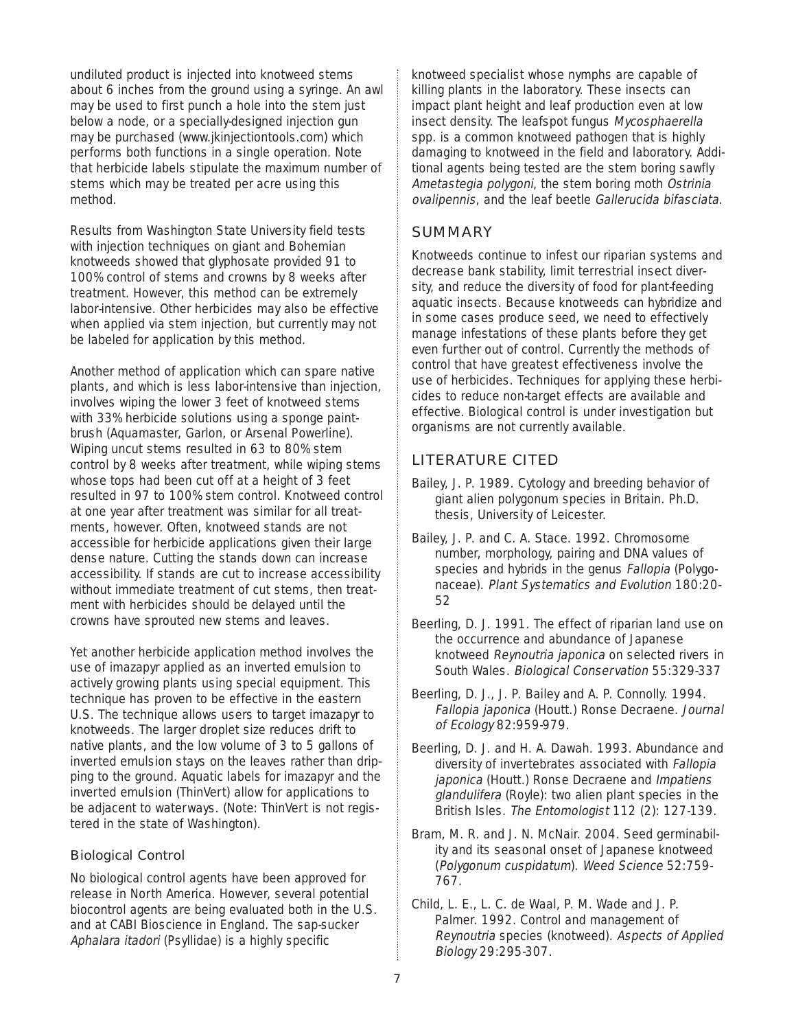undiluted product is injected into knotweed stems about 6 inches from the ground using a syringe. An awl may be used to first punch a hole into the stem just below a node, or a specially-designed injection gun may be purchased (www.jkinjectiontools.com) which performs both functions in a single operation. Note that herbicide labels stipulate the maximum number of stems which may be treated per acre using this method.

Results from Washington State University field tests with injection techniques on giant and Bohemian knotweeds showed that glyphosate provided 91 to 100% control of stems and crowns by 8 weeks after treatment. However, this method can be extremely labor-intensive. Other herbicides may also be effective when applied via stem injection, but currently may not be labeled for application by this method.

Another method of application which can spare native plants, and which is less labor-intensive than injection, involves wiping the lower 3 feet of knotweed stems with 33% herbicide solutions using a sponge paintbrush (Aquamaster, Garlon, or Arsenal Powerline). Wiping uncut stems resulted in 63 to 80% stem control by 8 weeks after treatment, while wiping stems whose tops had been cut off at a height of 3 feet resulted in 97 to 100% stem control. Knotweed control at one year after treatment was similar for all treatments, however. Often, knotweed stands are not accessible for herbicide applications given their large dense nature. Cutting the stands down can increase accessibility. If stands are cut to increase accessibility without immediate treatment of cut stems, then treatment with herbicides should be delayed until the crowns have sprouted new stems and leaves.

Yet another herbicide application method involves the use of imazapyr applied as an inverted emulsion to actively growing plants using special equipment. This technique has proven to be effective in the eastern U.S. The technique allows users to target imazapyr to knotweeds. The larger droplet size reduces drift to native plants, and the low volume of 3 to 5 gallons of inverted emulsion stays on the leaves rather than dripping to the ground. Aquatic labels for imazapyr and the inverted emulsion (ThinVert) allow for applications to be adjacent to waterways. (Note: ThinVert is not registered in the state of Washington).

### Biological Control

No biological control agents have been approved for release in North America. However, several potential biocontrol agents are being evaluated both in the U.S. and at CABI Bioscience in England. The sap-sucker Aphalara itadori (Psyllidae) is a highly specific

knotweed specialist whose nymphs are capable of killing plants in the laboratory. These insects can impact plant height and leaf production even at low insect density. The leafspot fungus Mycosphaerella spp. is a common knotweed pathogen that is highly damaging to knotweed in the field and laboratory. Additional agents being tested are the stem boring sawfly Ametastegia polygoni, the stem boring moth Ostrinia ovalipennis, and the leaf beetle Gallerucida bifasciata.

# **SUMMARY**

Knotweeds continue to infest our riparian systems and decrease bank stability, limit terrestrial insect diversity, and reduce the diversity of food for plant-feeding aquatic insects. Because knotweeds can hybridize and in some cases produce seed, we need to effectively manage infestations of these plants before they get even further out of control. Currently the methods of control that have greatest effectiveness involve the use of herbicides. Techniques for applying these herbicides to reduce non-target effects are available and effective. Biological control is under investigation but organisms are not currently available.

# LITERATURE CITED

- Bailey, J. P. 1989. Cytology and breeding behavior of giant alien polygonum species in Britain. Ph.D. thesis, University of Leicester.
- Bailey, J. P. and C. A. Stace. 1992. Chromosome number, morphology, pairing and DNA values of species and hybrids in the genus Fallopia (Polygonaceae). Plant Systematics and Evolution 180:20- 52
- Beerling, D. J. 1991. The effect of riparian land use on the occurrence and abundance of Japanese knotweed Reynoutria japonica on selected rivers in South Wales. Biological Conservation 55:329-337
- Beerling, D. J., J. P. Bailey and A. P. Connolly. 1994. Fallopia japonica (Houtt.) Ronse Decraene. Journal of Ecology 82:959-979.
- Beerling, D. J. and H. A. Dawah. 1993. Abundance and diversity of invertebrates associated with Fallopia japonica (Houtt.) Ronse Decraene and Impatiens glandulifera (Royle): two alien plant species in the British Isles. The Entomologist 112 (2): 127-139.
- Bram, M. R. and J. N. McNair. 2004. Seed germinability and its seasonal onset of Japanese knotweed (Polygonum cuspidatum). Weed Science 52:759- 767.
- Child, L. E., L. C. de Waal, P. M. Wade and J. P. Palmer. 1992. Control and management of Reynoutria species (knotweed). Aspects of Applied Biology 29:295-307.